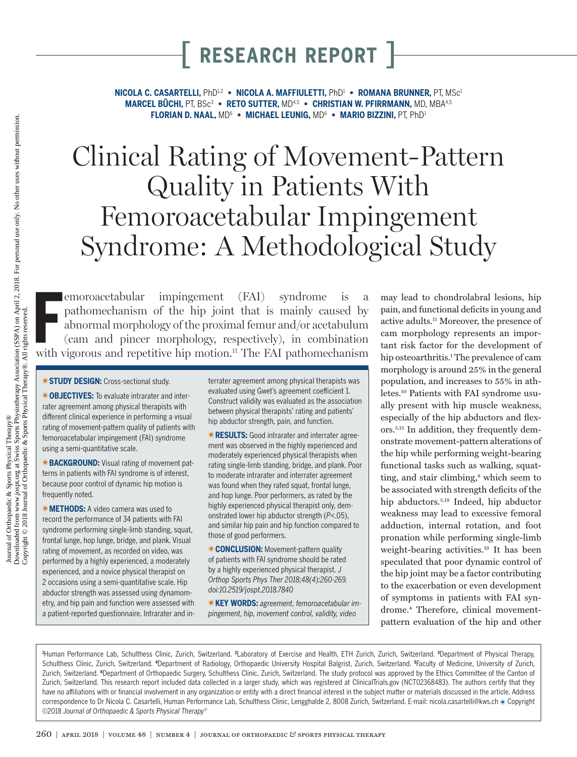**NICOLA C. CASARTELLI, PhD<sup>1,2</sup> · NICOLA A. MAFFIULETTI, PhD<sup>1</sup> · ROMANA BRUNNER, PT, MSc<sup>1</sup> MARCEL BÜCHI,** PT, BSc3 **• RETO SUTTER,** MD4,5 **• CHRISTIAN W. PFIRRMANN,** MD, MBA4,5 **FLORIAN D. NAAL,** MD6 **• MICHAEL LEUNIG,** MD6 **• MARIO BIZZINI,** PT, PhD1

# Clinical Rating of Movement-Pattern Quality in Patients With Femoroacetabular Impingement Syndrome: A Methodological Study

**EXECUTE:** emoroacetabular impingement (FAI) syndrome is a pathomechanism of the hip joint that is mainly caused by abnormal morphology of the proximal femur and/or acetabulum (cam and pincer morphology, respectively), in emoroacetabular impingement (FAI) syndrome is a pathomechanism of the hip joint that is mainly caused by abnormal morphology of the proximal femur and/or acetabulum (cam and pincer morphology, respectively), in combination

**STUDY DESIGN:** Cross-sectional study.

**OBJECTIVES:** To evaluate intrarater and interrater agreement among physical therapists with different clinical experience in performing a visual rating of movement-pattern quality of patients with femoroacetabular impingement (FAI) syndrome using a semi-quantitative scale.

**BACKGROUND:** Visual rating of movement patterns in patients with FAI syndrome is of interest, because poor control of dynamic hip motion is frequently noted.

**METHODS:** A video camera was used to record the performance of 34 patients with FAI syndrome performing single-limb standing, squat, frontal lunge, hop lunge, bridge, and plank. Visual rating of movement, as recorded on video, was performed by a highly experienced, a moderately experienced, and a novice physical therapist on 2 occasions using a semi-quantitative scale. Hip abductor strength was assessed using dynamometry, and hip pain and function were assessed with a patient-reported questionnaire. Intrarater and interrater agreement among physical therapists was evaluated using Gwet's agreement coefficient 1. Construct validity was evaluated as the association between physical therapists' rating and patients' hip abductor strength, pain, and function.

**ORESULTS:** Good intrarater and interrater agreement was observed in the highly experienced and moderately experienced physical therapists when rating single-limb standing, bridge, and plank. Poor to moderate intrarater and interrater agreement was found when they rated squat, frontal lunge, and hop lunge. Poor performers, as rated by the highly experienced physical therapist only, demonstrated lower hip abductor strength (*P*<.05), and similar hip pain and hip function compared to those of good performers.

**CONCLUSION:** Movement-pattern quality of patients with FAI syndrome should be rated by a highly experienced physical therapist. *J Orthop Sports Phys Ther 2018;48(4):260-269. doi:10.2519/jospt.2018.7840*

 $\bullet$  *KEY WORDS: agreement, femoroacetabular impingement, hip, movement control, validity, video*

may lead to chondrolabral lesions, hip pain, and functional deficits in young and active adults.11 Moreover, the presence of cam morphology represents an important risk factor for the development of hip osteoarthritis.<sup>1</sup> The prevalence of cam morphology is around 25% in the general population, and increases to 55% in athletes.10 Patients with FAI syndrome usually present with hip muscle weakness, especially of the hip abductors and flexors.5,15 In addition, they frequently demonstrate movement-pattern alterations of the hip while performing weight-bearing functional tasks such as walking, squatting, and stair climbing,<sup>8</sup> which seem to be associated with strength deficits of the hip abductors.5,19 Indeed, hip abductor weakness may lead to excessive femoral adduction, internal rotation, and foot pronation while performing single-limb weight-bearing activities.<sup>19</sup> It has been speculated that poor dynamic control of the hip joint may be a factor contributing to the exacerbation or even development of symptoms in patients with FAI syndrome.4 Therefore, clinical movementpattern evaluation of the hip and other

<sup>1</sup>Human Performance Lab, Schulthess Clinic, Zurich, Switzerland. <sup>2</sup>Laboratory of Exercise and Health, ETH Zurich, Zurich, Switzerland. <sup>3</sup>Department of Physical Therapy, Schulthess Clinic, Zurich, Switzerland. <sup>4</sup>Department of Radiology, Orthopaedic University Hospital Balgrist, Zurich, Switzerland. <sup>5</sup>Faculty of Medicine, University of Zurich, Zurich, Switzerland. **<sup>6</sup>** Department of Orthopaedic Surgery, Schulthess Clinic, Zurich, Switzerland. The study protocol was approved by the Ethics Committee of the Canton of Zurich, Switzerland. This research report included data collected in a larger study, which was registered at ClinicalTrials.gov (NCT02368483). The authors certify that they have no affiliations with or financial involvement in any organization or entity with a direct financial interest in the subject matter or materials discussed in the article. Address correspondence to Dr Nicola C. Casartelli, Human Performance Lab, Schulthess Clinic, Lengghalde 2, 8008 Zurich, Switzerland. E-mail: nicola.casartelli@kws.ch @ Copyright ©2018 *Journal of Orthopaedic & Sports Physical Therapy®*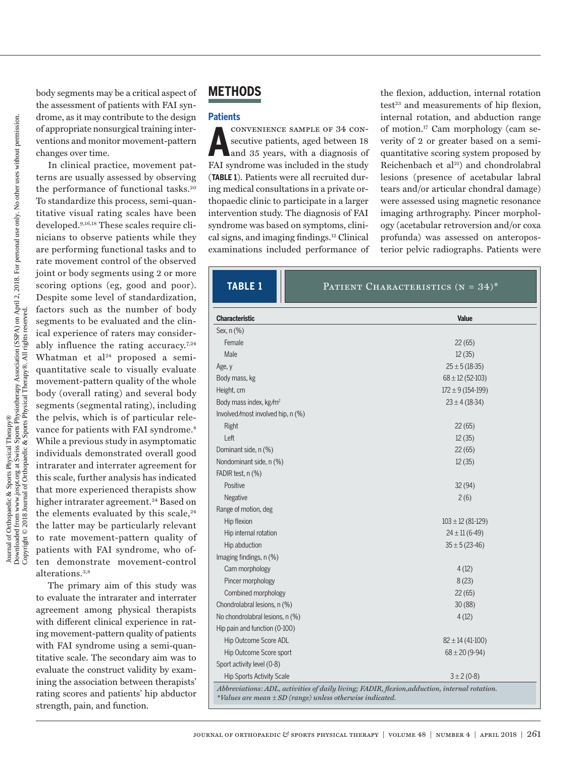body segments may be a critical aspect of the assessment of patients with FAI syndrome, as it may contribute to the design of appropriate nonsurgical training interventions and monitor movement-pattern changes over time.

In clinical practice, movement patterns are usually assessed by observing the performance of functional tasks.<sup>20</sup> To standardize this process, semi-quantitative visual rating scales have been developed.9,16,18 These scales require clinicians to observe patients while they are performing functional tasks and to rate movement control of the observed joint or body segments using 2 or more scoring options (eg, good and poor). Despite some level of standardization, factors such as the number of body segments to be evaluated and the clinical experience of raters may considerably influence the rating accuracy.<sup>7,24</sup> Whatman et al<sup>24</sup> proposed a semiquantitative scale to visually evaluate movement-pattern quality of the whole body (overall rating) and several body segments (segmental rating), including the pelvis, which is of particular relevance for patients with FAI syndrome.<sup>8</sup> While a previous study in asymptomatic individuals demonstrated overall good intrarater and interrater agreement for this scale, further analysis has indicated that more experienced therapists show higher intrarater agreement.<sup>24</sup> Based on the elements evaluated by this scale, $24$ the latter may be particularly relevant to rate movement-pattern quality of patients with FAI syndrome, who often demonstrate movement-control alterations.3,8

The primary aim of this study was to evaluate the intrarater and interrater agreement among physical therapists with different clinical experience in rating movement-pattern quality of patients with FAI syndrome using a semi-quantitative scale. The secondary aim was to evaluate the construct validity by examining the association between therapists' rating scores and patients' hip abductor strength, pain, and function.

## **METHODS**

#### **Patients**

**A CONVENIENCE SAMPLE OF 34 CONSECUTIVE PARTICLE SAMPLE OF 34 CONSECUTIVE DETAILS AND RELATED STARS AND RELATED STARS OF STARS AND RELATIONS AND RELATIONS AND RELATIONS AND RELATIONS AND RELATIONS AND RELATIONS AND RELATIO** secutive patients, aged between 18 FAI syndrome was included in the study (**TABLE 1**). Patients were all recruited during medical consultations in a private orthopaedic clinic to participate in a larger intervention study. The diagnosis of FAI syndrome was based on symptoms, clinical signs, and imaging findings.12 Clinical examinations included performance of

the flexion, adduction, internal rotation  $test<sup>23</sup>$  and measurements of hip flexion, internal rotation, and abduction range of motion.17 Cam morphology (cam severity of 2 or greater based on a semiquantitative scoring system proposed by Reichenbach et al<sup>21</sup>) and chondrolabral lesions (presence of acetabular labral tears and/or articular chondral damage) were assessed using magnetic resonance imaging arthrography. Pincer morphology (acetabular retroversion and/or coxa profunda) was assessed on anteroposterior pelvic radiographs. Patients were

| <b>Characteristic</b>              | <b>Value</b>          |
|------------------------------------|-----------------------|
| Sex, $n$ $%$                       |                       |
| Female                             | 22(65)                |
| Male                               | 12(35)                |
| Age, y                             | $25 \pm 5(18-35)$     |
| Body mass, kg                      | $68 \pm 12$ (52-103)  |
| Height, cm                         | $172 \pm 9(154-199)$  |
| Body mass index, kg/m <sup>2</sup> | $23 \pm 4 (18 - 34)$  |
| Involved/most involved hip, n (%)  |                       |
| Right                              | 22(65)                |
| Left                               | 12(35)                |
| Dominant side, n (%)               | 22(65)                |
| Nondominant side, n (%)            | 12(35)                |
| FADIR test, n (%)                  |                       |
| Positive                           | 32(94)                |
| Negative                           | 2(6)                  |
| Range of motion, deg               |                       |
| Hip flexion                        | $103 \pm 12$ (81-129) |
| Hip internal rotation              | $24 \pm 11 (6 - 49)$  |
| Hip abduction                      | $35 \pm 5(23-46)$     |
| Imaging findings, n (%)            |                       |
| Cam morphology                     | 4(12)                 |
| Pincer morphology                  | 8(23)                 |
| Combined morphology                | 22(65)                |
| Chondrolabral lesions, n (%)       | 30(88)                |
| No chondrolabral lesions, n (%)    | 4(12)                 |
| Hip pain and function (0-100)      |                       |
| Hip Outcome Score ADL              | $82 \pm 14(41 - 100)$ |
| Hip Outcome Score sport            | $68 \pm 20 (9 - 94)$  |
| Sport activity level (0-8)         |                       |
| <b>Hip Sports Activity Scale</b>   | $3 \pm 2 (0-8)$       |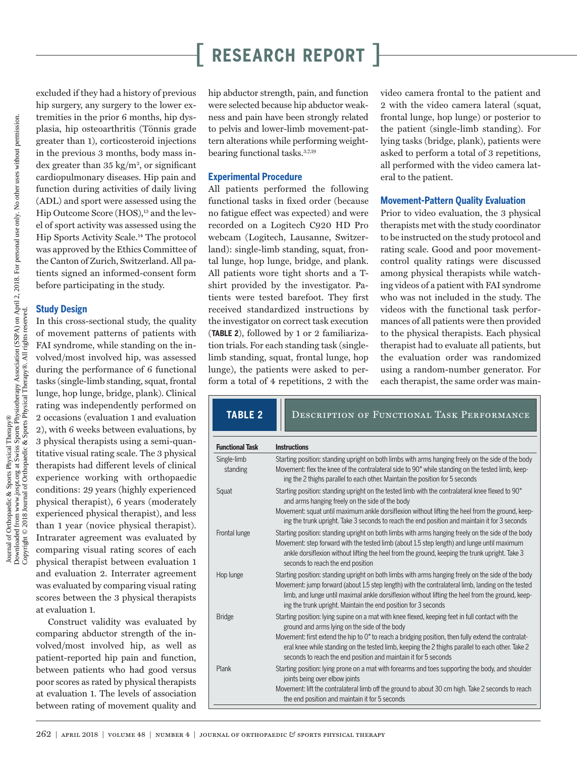excluded if they had a history of previous hip surgery, any surgery to the lower extremities in the prior 6 months, hip dysplasia, hip osteoarthritis (Tönnis grade greater than 1), corticosteroid injections in the previous 3 months, body mass index greater than  $35 \text{ kg/m}^2$ , or significant cardiopulmonary diseases. Hip pain and function during activities of daily living (ADL) and sport were assessed using the Hip Outcome Score (HOS),<sup>13</sup> and the level of sport activity was assessed using the Hip Sports Activity Scale.14 The protocol was approved by the Ethics Committee of the Canton of Zurich, Switzerland. All patients signed an informed-consent form before participating in the study.

### **Study Design**

In this cross-sectional study, the quality of movement patterns of patients with FAI syndrome, while standing on the involved/most involved hip, was assessed during the performance of 6 functional tasks (single-limb standing, squat, frontal lunge, hop lunge, bridge, plank). Clinical rating was independently performed on 2 occasions (evaluation 1 and evaluation 2), with 6 weeks between evaluations, by 3 physical therapists using a semi-quantitative visual rating scale. The 3 physical therapists had different levels of clinical experience working with orthopaedic conditions: 29 years (highly experienced physical therapist), 6 years (moderately experienced physical therapist), and less than 1 year (novice physical therapist). Intrarater agreement was evaluated by comparing visual rating scores of each physical therapist between evaluation 1 and evaluation 2. Interrater agreement was evaluated by comparing visual rating scores between the 3 physical therapists at evaluation 1.

Construct validity was evaluated by comparing abductor strength of the involved/most involved hip, as well as patient-reported hip pain and function, between patients who had good versus poor scores as rated by physical therapists at evaluation 1. The levels of association between rating of movement quality and

hip abductor strength, pain, and function were selected because hip abductor weakness and pain have been strongly related to pelvis and lower-limb movement-pattern alterations while performing weightbearing functional tasks.3,7,19

### **Experimental Procedure**

All patients performed the following functional tasks in fixed order (because no fatigue effect was expected) and were recorded on a Logitech C920 HD Pro webcam (Logitech, Lausanne, Switzerland): single-limb standing, squat, frontal lunge, hop lunge, bridge, and plank. All patients wore tight shorts and a Tshirt provided by the investigator. Patients were tested barefoot. They first received standardized instructions by the investigator on correct task execution (**TABLE 2**), followed by 1 or 2 familiarization trials. For each standing task (singlelimb standing, squat, frontal lunge, hop lunge), the patients were asked to perform a total of 4 repetitions, 2 with the

video camera frontal to the patient and 2 with the video camera lateral (squat, frontal lunge, hop lunge) or posterior to the patient (single-limb standing). For lying tasks (bridge, plank), patients were asked to perform a total of 3 repetitions, all performed with the video camera lateral to the patient.

#### **Movement-Pattern Quality Evaluation**

Prior to video evaluation, the 3 physical therapists met with the study coordinator to be instructed on the study protocol and rating scale. Good and poor movementcontrol quality ratings were discussed among physical therapists while watching videos of a patient with FAI syndrome who was not included in the study. The videos with the functional task performances of all patients were then provided to the physical therapists. Each physical therapist had to evaluate all patients, but the evaluation order was randomized using a random-number generator. For each therapist, the same order was main-

| <b>TABLE 2</b>          | <b>DESCRIPTION OF FUNCTIONAL TASK PERFORMANCE</b>                                                                                                                                                                                                                                                                                                                                                                               |
|-------------------------|---------------------------------------------------------------------------------------------------------------------------------------------------------------------------------------------------------------------------------------------------------------------------------------------------------------------------------------------------------------------------------------------------------------------------------|
| <b>Functional Task</b>  | <b>Instructions</b>                                                                                                                                                                                                                                                                                                                                                                                                             |
| Single-limb<br>standing | Starting position: standing upright on both limbs with arms hanging freely on the side of the body<br>Movement: flex the knee of the contralateral side to 90° while standing on the tested limb, keep-<br>ing the 2 thighs parallel to each other. Maintain the position for 5 seconds                                                                                                                                         |
| Squat                   | Starting position: standing upright on the tested limb with the contralateral knee flexed to 90°<br>and arms hanging freely on the side of the body<br>Movement: squat until maximum ankle dorsiflexion without lifting the heel from the ground, keep-<br>ing the trunk upright. Take 3 seconds to reach the end position and maintain it for 3 seconds                                                                        |
| Frontal lunge           | Starting position: standing upright on both limbs with arms hanging freely on the side of the body<br>Movement: step forward with the tested limb (about 1.5 step length) and lunge until maximum<br>ankle dorsiflexion without lifting the heel from the ground, keeping the trunk upright. Take 3<br>seconds to reach the end position                                                                                        |
| Hop lunge               | Starting position: standing upright on both limbs with arms hanging freely on the side of the body<br>Movement: jump forward (about 1.5 step length) with the contralateral limb, landing on the tested<br>limb, and lunge until maximal ankle dorsiflexion without lifting the heel from the ground, keep-<br>ing the trunk upright. Maintain the end position for 3 seconds                                                   |
| <b>Bridge</b>           | Starting position: Iying supine on a mat with knee flexed, keeping feet in full contact with the<br>ground and arms lying on the side of the body<br>Movement: first extend the hip to 0° to reach a bridging position, then fully extend the contralat-<br>eral knee while standing on the tested limb, keeping the 2 thighs parallel to each other. Take 2<br>seconds to reach the end position and maintain it for 5 seconds |
| Plank                   | Starting position: lying prone on a mat with forearms and toes supporting the body, and shoulder<br>joints being over elbow joints<br>Movement: lift the contralateral limb off the ground to about 30 cm high. Take 2 seconds to reach<br>the end position and maintain it for 5 seconds                                                                                                                                       |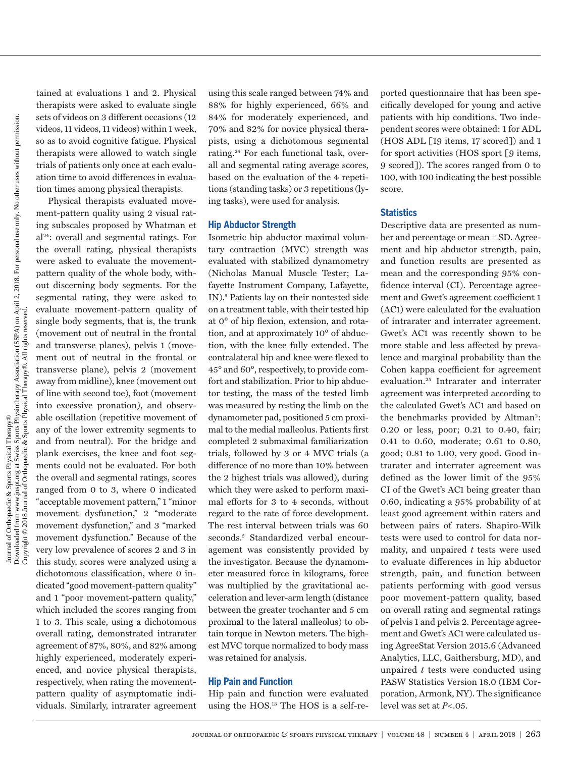tained at evaluations 1 and 2. Physical therapists were asked to evaluate single sets of videos on 3 different occasions (12 videos, 11 videos, 11 videos) within 1 week, so as to avoid cognitive fatigue. Physical therapists were allowed to watch single trials of patients only once at each evaluation time to avoid differences in evaluation times among physical therapists.

Physical therapists evaluated movement-pattern quality using 2 visual rating subscales proposed by Whatman et al24: overall and segmental ratings. For the overall rating, physical therapists were asked to evaluate the movementpattern quality of the whole body, without discerning body segments. For the segmental rating, they were asked to evaluate movement-pattern quality of single body segments, that is, the trunk (movement out of neutral in the frontal and transverse planes), pelvis 1 (movement out of neutral in the frontal or transverse plane), pelvis 2 (movement away from midline), knee (movement out of line with second toe), foot (movement into excessive pronation), and observable oscillation (repetitive movement of any of the lower extremity segments to and from neutral). For the bridge and plank exercises, the knee and foot segments could not be evaluated. For both the overall and segmental ratings, scores ranged from 0 to 3, where 0 indicated "acceptable movement pattern," 1 "minor movement dysfunction," 2 "moderate movement dysfunction," and 3 "marked movement dysfunction." Because of the very low prevalence of scores 2 and 3 in this study, scores were analyzed using a dichotomous classification, where 0 indicated "good movement-pattern quality" and 1 "poor movement-pattern quality," which included the scores ranging from 1 to 3. This scale, using a dichotomous overall rating, demonstrated intrarater agreement of 87%, 80%, and 82% among highly experienced, moderately experienced, and novice physical therapists, respectively, when rating the movementpattern quality of asymptomatic individuals. Similarly, intrarater agreement

using this scale ranged between 74% and 88% for highly experienced, 66% and 84% for moderately experienced, and 70% and 82% for novice physical therapists, using a dichotomous segmental rating.24 For each functional task, overall and segmental rating average scores, based on the evaluation of the 4 repetitions (standing tasks) or 3 repetitions (lying tasks), were used for analysis.

#### **Hip Abductor Strength**

Isometric hip abductor maximal voluntary contraction (MVC) strength was evaluated with stabilized dynamometry (Nicholas Manual Muscle Tester; Lafayette Instrument Company, Lafayette, IN).5 Patients lay on their nontested side on a treatment table, with their tested hip at 0° of hip flexion, extension, and rotation, and at approximately 10° of abduction, with the knee fully extended. The contralateral hip and knee were flexed to 45° and 60°, respectively, to provide comfort and stabilization. Prior to hip abductor testing, the mass of the tested limb was measured by resting the limb on the dynamometer pad, positioned 5 cm proximal to the medial malleolus. Patients first completed 2 submaximal familiarization trials, followed by 3 or 4 MVC trials (a difference of no more than 10% between the 2 highest trials was allowed), during which they were asked to perform maximal efforts for 3 to 4 seconds, without regard to the rate of force development. The rest interval between trials was 60 seconds.<sup>5</sup> Standardized verbal encouragement was consistently provided by the investigator. Because the dynamometer measured force in kilograms, force was multiplied by the gravitational acceleration and lever-arm length (distance between the greater trochanter and 5 cm proximal to the lateral malleolus) to obtain torque in Newton meters. The highest MVC torque normalized to body mass was retained for analysis.

#### **Hip Pain and Function**

Hip pain and function were evaluated using the HOS.13 The HOS is a self-re-

ported questionnaire that has been specifically developed for young and active patients with hip conditions. Two independent scores were obtained: 1 for ADL (HOS ADL [19 items, 17 scored]) and 1 for sport activities (HOS sport [9 items, 9 scored]). The scores ranged from 0 to 100, with 100 indicating the best possible score.

### **Statistics**

Descriptive data are presented as number and percentage or mean ± SD. Agreement and hip abductor strength, pain, and function results are presented as mean and the corresponding 95% confidence interval (CI). Percentage agreement and Gwet's agreement coefficient 1 (AC1) were calculated for the evaluation of intrarater and interrater agreement. Gwet's AC1 was recently shown to be more stable and less affected by prevalence and marginal probability than the Cohen kappa coefficient for agreement evaluation.25 Intrarater and interrater agreement was interpreted according to the calculated Gwet's AC1 and based on the benchmarks provided by Altman<sup>2</sup>: 0.20 or less, poor; 0.21 to 0.40, fair; 0.41 to 0.60, moderate; 0.61 to 0.80, good; 0.81 to 1.00, very good. Good intrarater and interrater agreement was defined as the lower limit of the 95% CI of the Gwet's AC1 being greater than 0.60, indicating a 95% probability of at least good agreement within raters and between pairs of raters. Shapiro-Wilk tests were used to control for data normality, and unpaired *t* tests were used to evaluate differences in hip abductor strength, pain, and function between patients performing with good versus poor movement-pattern quality, based on overall rating and segmental ratings of pelvis 1 and pelvis 2. Percentage agreement and Gwet's AC1 were calculated using AgreeStat Version 2015.6 (Advanced Analytics, LLC, Gaithersburg, MD), and unpaired *t* tests were conducted using PASW Statistics Version 18.0 (IBM Corporation, Armonk, NY). The significance level was set at *P*<.05.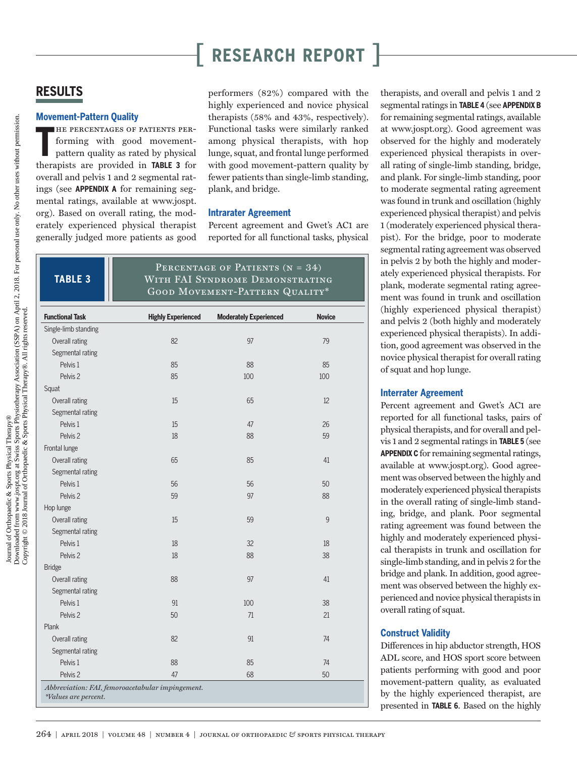## **RESULTS**

### **Movement-Pattern Quality**

**T** he percentages of patients performing with good movementpattern quality as rated by physical therapists are provided in **TABLE 3** for overall and pelvis 1 and 2 segmental ratings (see **APPENDIX A** for remaining segmental ratings, available at www.jospt. org). Based on overall rating, the moderately experienced physical therapist generally judged more patients as good

performers (82%) compared with the highly experienced and novice physical therapists (58% and 43%, respectively). Functional tasks were similarly ranked among physical therapists, with hop lunge, squat, and frontal lunge performed with good movement-pattern quality by fewer patients than single-limb standing, plank, and bridge.

#### **Intrarater Agreement**

Percent agreement and Gwet's AC1 are reported for all functional tasks, physical

**TABLE 3**

PERCENTAGE OF PATIENTS  $(N = 34)$ With FAI Syndrome Demonstrating Good Movement-Pattern Quality\*

| <b>Functional Task</b> | <b>Highly Experienced</b> | <b>Moderately Experienced</b> | <b>Novice</b> |
|------------------------|---------------------------|-------------------------------|---------------|
| Single-limb standing   |                           |                               |               |
| Overall rating         | 82                        | 97                            | 79            |
| Segmental rating       |                           |                               |               |
| Pelvis <sub>1</sub>    | 85                        | 88                            | 85            |
| Pelvis <sub>2</sub>    | 85                        | 100                           | 100           |
| Squat                  |                           |                               |               |
| Overall rating         | 15                        | 65                            | 12            |
| Segmental rating       |                           |                               |               |
| Pelvis <sub>1</sub>    | 15                        | 47                            | 26            |
| Pelvis <sub>2</sub>    | 18                        | 88                            | 59            |
| Frontal lunge          |                           |                               |               |
| Overall rating         | 65                        | 85                            | 41            |
| Segmental rating       |                           |                               |               |
| Pelvis <sub>1</sub>    | 56                        | 56                            | 50            |
| Pelvis <sub>2</sub>    | 59                        | 97                            | 88            |
| Hop lunge              |                           |                               |               |
| Overall rating         | 15                        | 59                            | 9             |
| Segmental rating       |                           |                               |               |
| Pelvis <sub>1</sub>    | 18                        | 32                            | 18            |
| Pelvis <sub>2</sub>    | 18                        | 88                            | 38            |
| <b>Bridge</b>          |                           |                               |               |
| Overall rating         | 88                        | 97                            | 41            |
| Segmental rating       |                           |                               |               |
| Pelvis <sub>1</sub>    | 91                        | 100                           | 38            |
| Pelvis <sub>2</sub>    | 50                        | 71                            | 21            |
| Plank                  |                           |                               |               |
| Overall rating         | 82                        | 91                            | 74            |
| Segmental rating       |                           |                               |               |
| Pelvis <sub>1</sub>    | 88                        | 85                            | 74            |
| Pelvis <sub>2</sub>    | 47                        | 68                            | 50            |

therapists, and overall and pelvis 1 and 2 segmental ratings in **TABLE 4** (see **APPENDIX B** for remaining segmental ratings, available at www.jospt.org). Good agreement was observed for the highly and moderately experienced physical therapists in overall rating of single-limb standing, bridge, and plank. For single-limb standing, poor to moderate segmental rating agreement was found in trunk and oscillation (highly experienced physical therapist) and pelvis 1 (moderately experienced physical therapist). For the bridge, poor to moderate segmental rating agreement was observed in pelvis 2 by both the highly and moderately experienced physical therapists. For plank, moderate segmental rating agreement was found in trunk and oscillation (highly experienced physical therapist) and pelvis 2 (both highly and moderately experienced physical therapists). In addition, good agreement was observed in the novice physical therapist for overall rating of squat and hop lunge.

### **Interrater Agreement**

Percent agreement and Gwet's AC1 are reported for all functional tasks, pairs of physical therapists, and for overall and pelvis 1 and 2 segmental ratings in **TABLE 5** (see **APPENDIX C** for remaining segmental ratings, available at www.jospt.org). Good agreement was observed between the highly and moderately experienced physical therapists in the overall rating of single-limb standing, bridge, and plank. Poor segmental rating agreement was found between the highly and moderately experienced physical therapists in trunk and oscillation for single-limb standing, and in pelvis 2 for the bridge and plank. In addition, good agreement was observed between the highly experienced and novice physical therapists in overall rating of squat.

### **Construct Validity**

Differences in hip abductor strength, HOS ADL score, and HOS sport score between patients performing with good and poor movement-pattern quality, as evaluated by the highly experienced therapist, are presented in **TABLE 6**. Based on the highly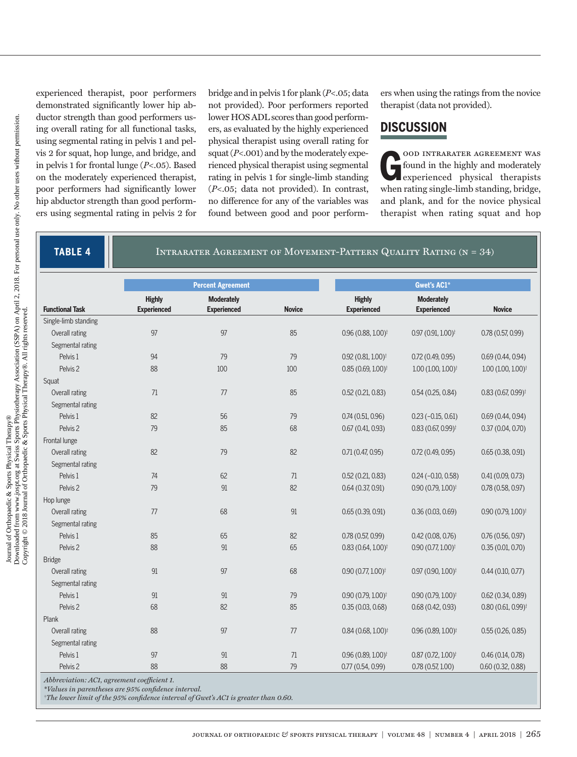experienced therapist, poor performers demonstrated significantly lower hip abductor strength than good performers using overall rating for all functional tasks, using segmental rating in pelvis 1 and pelvis 2 for squat, hop lunge, and bridge, and in pelvis 1 for frontal lunge (*P*<.05). Based on the moderately experienced therapist, poor performers had significantly lower hip abductor strength than good performers using segmental rating in pelvis 2 for bridge and in pelvis 1 for plank (*P*<.05; data not provided). Poor performers reported lower HOS ADL scores than good performers, as evaluated by the highly experienced physical therapist using overall rating for squat (*P*<.001) and by the moderately experienced physical therapist using segmental rating in pelvis 1 for single-limb standing (*P*<.05; data not provided). In contrast, no difference for any of the variables was found between good and poor performers when using the ratings from the novice therapist (data not provided).

## **DISCUSSION**

**G** ood intrarater agreement was found in the highly and moderately experienced physical therapists when rating single-limb standing, bridge, and plank, and for the novice physical therapist when rating squat and hop

**TABLE 4** INTRARATER AGREEMENT OF MOVEMENT-PATTERN QUALITY RATING (N = 34)

|                                             |                                     | <b>Percent Agreement</b>                |               | <b>Gwet's AC1*</b>                  |                                         |                                 |  |  |
|---------------------------------------------|-------------------------------------|-----------------------------------------|---------------|-------------------------------------|-----------------------------------------|---------------------------------|--|--|
| <b>Functional Task</b>                      | <b>Highly</b><br><b>Experienced</b> | <b>Moderately</b><br><b>Experienced</b> | <b>Novice</b> | <b>Highly</b><br><b>Experienced</b> | <b>Moderately</b><br><b>Experienced</b> | <b>Novice</b>                   |  |  |
| Single-limb standing                        |                                     |                                         |               |                                     |                                         |                                 |  |  |
| Overall rating                              | 97                                  | 97                                      | 85            | $0.96(0.88, 1.00)^{\dagger}$        | $0.97$ (0.91, 1.00) <sup>†</sup>        | 0.78(0.57, 0.99)                |  |  |
| Segmental rating                            |                                     |                                         |               |                                     |                                         |                                 |  |  |
| Pelvis <sub>1</sub>                         | 94                                  | 79                                      | 79            | $0.92$ (0.81, 1.00) <sup>t</sup>    | 0.72(0.49, 0.95)                        | 0.69(0.44, 0.94)                |  |  |
| Pelvis <sub>2</sub>                         | 88                                  | 100                                     | 100           | $0.85(0.69, 1.00)^{\dagger}$        | $1.00(1.00, 1.00)^{\dagger}$            | $1.00(1.00, 1.00)^{\dagger}$    |  |  |
| Squat                                       |                                     |                                         |               |                                     |                                         |                                 |  |  |
| Overall rating                              | 71                                  | 77                                      | 85            | 0.52(0.21, 0.83)                    | 0.54(0.25, 0.84)                        | $0.83(0.67, 0.99)$ <sup>†</sup> |  |  |
| Segmental rating                            |                                     |                                         |               |                                     |                                         |                                 |  |  |
| Pelvis <sub>1</sub>                         | 82                                  | 56                                      | 79            | 0.74(0.51, 0.96)                    | $0.23(-0.15, 0.61)$                     | 0.69(0.44, 0.94)                |  |  |
| Pelvis <sub>2</sub>                         | 79                                  | 85                                      | 68            | 0.67(0.41, 0.93)                    | $0.83(0.67, 0.99)$ <sup>t</sup>         | 0.37(0.04, 0.70)                |  |  |
| Frontal lunge                               |                                     |                                         |               |                                     |                                         |                                 |  |  |
| Overall rating                              | 82                                  | 79                                      | 82            | 0.71(0.47, 0.95)                    | 0.72(0.49, 0.95)                        | 0.65(0.38, 0.91)                |  |  |
| Segmental rating                            |                                     |                                         |               |                                     |                                         |                                 |  |  |
| Pelvis <sub>1</sub>                         | 74                                  | 62                                      | 71            | 0.52(0.21, 0.83)                    | $0.24 (-0.10, 0.58)$                    | 0.41(0.09, 0.73)                |  |  |
| Pelvis <sub>2</sub>                         | 79                                  | 91                                      | 82            | 0.64(0.37, 0.91)                    | $0.90(0.79, 1.00)$ <sup>†</sup>         | 0.78(0.58, 0.97)                |  |  |
| Hop lunge                                   |                                     |                                         |               |                                     |                                         |                                 |  |  |
| Overall rating                              | 77                                  | 68                                      | $91\,$        | 0.65(0.39, 0.91)                    | 0.36(0.03, 0.69)                        | $0.90(0.79, 1.00)^{\dagger}$    |  |  |
| Segmental rating                            |                                     |                                         |               |                                     |                                         |                                 |  |  |
| Pelvis <sub>1</sub>                         | 85                                  | 65                                      | 82            | 0.78(0.57, 0.99)                    | 0.42(0.08, 0.76)                        | 0.76(0.56, 0.97)                |  |  |
| Pelvis <sub>2</sub>                         | 88                                  | 91                                      | 65            | $0.83(0.64, 1.00)^{\dagger}$        | $0.90(0.77, 1.00)$ <sup>†</sup>         | 0.35(0.01, 0.70)                |  |  |
| <b>Bridge</b>                               |                                     |                                         |               |                                     |                                         |                                 |  |  |
| Overall rating                              | 91                                  | 97                                      | 68            | $0.90(0.77, 1.00)$ <sup>†</sup>     | $0.97$ (0.90, 1.00) <sup>t</sup>        | 0.44(0.10, 0.77)                |  |  |
| Segmental rating                            |                                     |                                         |               |                                     |                                         |                                 |  |  |
| Pelvis <sub>1</sub>                         | 91                                  | 91                                      | 79            | $0.90(0.79, 1.00)^{\dagger}$        | $0.90(0.79, 1.00)$ <sup>†</sup>         | 0.62(0.34, 0.89)                |  |  |
| Pelvis <sub>2</sub>                         | 68                                  | 82                                      | 85            | 0.35(0.03, 0.68)                    | 0.68(0.42, 0.93)                        | $0.80(0.61, 0.99)$ <sup>†</sup> |  |  |
| Plank                                       |                                     |                                         |               |                                     |                                         |                                 |  |  |
| Overall rating                              | 88                                  | 97                                      | 77            | $0.84$ (0.68, 1.00) <sup>†</sup>    | $0.96(0.89, 1.00)^{\dagger}$            | 0.55(0.26, 0.85)                |  |  |
| Segmental rating                            |                                     |                                         |               |                                     |                                         |                                 |  |  |
| Pelvis <sub>1</sub>                         | 97                                  | 91                                      | 71            | $0.96(0.89, 1.00)$ <sup>†</sup>     | $0.87$ (0.72, 1.00) <sup>t</sup>        | 0.46(0.14, 0.78)                |  |  |
| Pelvis <sub>2</sub>                         | 88                                  | 88                                      | 79            | 0.77(0.54, 0.99)                    | 0.78(0.57, 1.00)                        | 0.60(0.32, 0.88)                |  |  |
| Abbreviation: AC1, agreement coefficient 1. |                                     |                                         |               |                                     |                                         |                                 |  |  |

\**Values in parentheses are 95% confidence interval.*

† *The lower limit of the 95% confidence interval of Gwet's AC1 is greater than 0.60.*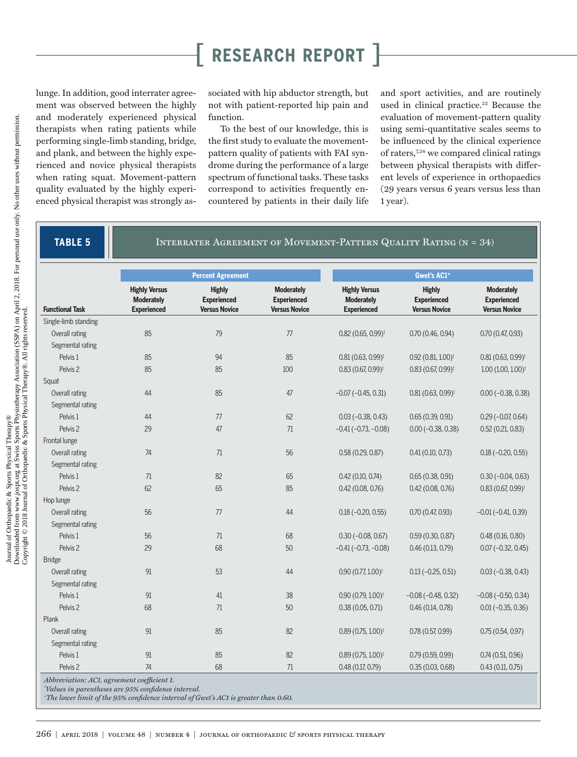lunge. In addition, good interrater agreement was observed between the highly and moderately experienced physical therapists when rating patients while performing single-limb standing, bridge, and plank, and between the highly experienced and novice physical therapists when rating squat. Movement-pattern quality evaluated by the highly experienced physical therapist was strongly associated with hip abductor strength, but not with patient-reported hip pain and function.

To the best of our knowledge, this is the first study to evaluate the movementpattern quality of patients with FAI syndrome during the performance of a large spectrum of functional tasks. These tasks correspond to activities frequently encountered by patients in their daily life

and sport activities, and are routinely used in clinical practice.<sup>22</sup> Because the evaluation of movement-pattern quality using semi-quantitative scales seems to be influenced by the clinical experience of raters,7,24 we compared clinical ratings between physical therapists with different levels of experience in orthopaedics (29 years versus 6 years versus less than 1 year).

**TABLE 5** INTERRATER AGREEMENT OF MOVEMENT-PATTERN QUALITY RATING (N = 34)

|                        |                                                                 | <b>Percent Agreement</b>                                    |                                                                 |                                                                 | <b>Gwet's AC1*</b>                                          |                                                                 |  |  |
|------------------------|-----------------------------------------------------------------|-------------------------------------------------------------|-----------------------------------------------------------------|-----------------------------------------------------------------|-------------------------------------------------------------|-----------------------------------------------------------------|--|--|
| <b>Functional Task</b> | <b>Highly Versus</b><br><b>Moderately</b><br><b>Experienced</b> | <b>Highly</b><br><b>Experienced</b><br><b>Versus Novice</b> | <b>Moderately</b><br><b>Experienced</b><br><b>Versus Novice</b> | <b>Highly Versus</b><br><b>Moderately</b><br><b>Experienced</b> | <b>Highly</b><br><b>Experienced</b><br><b>Versus Novice</b> | <b>Moderately</b><br><b>Experienced</b><br><b>Versus Novice</b> |  |  |
| Single-limb standing   |                                                                 |                                                             |                                                                 |                                                                 |                                                             |                                                                 |  |  |
| Overall rating         | 85                                                              | 79                                                          | 77                                                              | $0.82$ (0.65, 0.99) <sup>t</sup>                                | 0.70(0.46, 0.94)                                            | 0.70(0.47, 0.93)                                                |  |  |
| Segmental rating       |                                                                 |                                                             |                                                                 |                                                                 |                                                             |                                                                 |  |  |
| Pelvis <sub>1</sub>    | 85                                                              | 94                                                          | 85                                                              | $0.81(0.63, 0.99)$ <sup>†</sup>                                 | $0.92$ (0.81, 1.00) <sup>t</sup>                            | $0.81(0.63, 0.99)$ <sup>†</sup>                                 |  |  |
| Pelvis <sub>2</sub>    | 85                                                              | 85                                                          | 100                                                             | $0.83(0.67, 0.99)$ <sup>†</sup>                                 | $0.83(0.67, 0.99)^{\dagger}$                                | $1.00(1.00, 1.00)^{\dagger}$                                    |  |  |
| Squat                  |                                                                 |                                                             |                                                                 |                                                                 |                                                             |                                                                 |  |  |
| Overall rating         | 44                                                              | 85                                                          | 47                                                              | $-0.07$ $(-0.45, 0.31)$                                         | $0.81(0.63, 0.99)$ <sup>†</sup>                             | $0.00 (-0.38, 0.38)$                                            |  |  |
| Segmental rating       |                                                                 |                                                             |                                                                 |                                                                 |                                                             |                                                                 |  |  |
| Pelvis <sub>1</sub>    | 44                                                              | 77                                                          | 62                                                              | $0.03(-0.38, 0.43)$                                             | 0.65(0.39, 0.91)                                            | $0.29$ ( $-0.07$ , $0.64$ )                                     |  |  |
| Pelvis <sub>2</sub>    | 29                                                              | 47                                                          | 71                                                              | $-0.41(-0.73, -0.08)$                                           | $0.00 (-0.38, 0.38)$                                        | 0.52(0.21, 0.83)                                                |  |  |
| Frontal lunge          |                                                                 |                                                             |                                                                 |                                                                 |                                                             |                                                                 |  |  |
| Overall rating         | 74                                                              | 71                                                          | 56                                                              | 0.58(0.29, 0.87)                                                | 0.41(0.10, 0.73)                                            | $0.18 (-0.20, 0.55)$                                            |  |  |
| Segmental rating       |                                                                 |                                                             |                                                                 |                                                                 |                                                             |                                                                 |  |  |
| Pelvis <sub>1</sub>    | 71                                                              | 82                                                          | 65                                                              | 0.42(0.10, 0.74)                                                | 0.65(0.38, 0.91)                                            | $0.30(-0.04, 0.63)$                                             |  |  |
| Pelvis <sub>2</sub>    | 62                                                              | 65                                                          | 85                                                              | 0.42(0.08, 0.76)                                                | 0.42(0.08, 0.76)                                            | $0.83(0.67, 0.99)$ <sup>†</sup>                                 |  |  |
| Hop lunge              |                                                                 |                                                             |                                                                 |                                                                 |                                                             |                                                                 |  |  |
| Overall rating         | 56                                                              | 77                                                          | 44                                                              | $0.18 (-0.20, 0.55)$                                            | 0.70(0.47, 0.93)                                            | $-0.01(-0.41, 0.39)$                                            |  |  |
| Segmental rating       |                                                                 |                                                             |                                                                 |                                                                 |                                                             |                                                                 |  |  |
| Pelvis 1               | 56                                                              | 71                                                          | 68                                                              | $0.30(-0.08, 0.67)$                                             | 0.59(0.30, 0.87)                                            | 0.48(0.16, 0.80)                                                |  |  |
| Pelvis <sub>2</sub>    | 29                                                              | 68                                                          | 50                                                              | $-0.41(-0.73, -0.08)$                                           | 0.46(0.13, 0.79)                                            | $0.07$ ( $-0.32$ , $0.45$ )                                     |  |  |
| <b>Bridge</b>          |                                                                 |                                                             |                                                                 |                                                                 |                                                             |                                                                 |  |  |
| Overall rating         | 91                                                              | 53                                                          | 44                                                              | $0.90(0.77, 1.00)$ <sup>t</sup>                                 | $0.13 (-0.25, 0.51)$                                        | $0.03$ ( $-0.38$ , $0.43$ )                                     |  |  |
| Segmental rating       |                                                                 |                                                             |                                                                 |                                                                 |                                                             |                                                                 |  |  |
| Pelvis <sub>1</sub>    | 91                                                              | 41                                                          | 38                                                              | $0.90(0.79, 1.00)^{\dagger}$                                    | $-0.08$ ( $-0.48$ , 0.32)                                   | $-0.08$ ( $-0.50$ , 0.34)                                       |  |  |
| Pelvis <sub>2</sub>    | 68                                                              | 71                                                          | 50                                                              | 0.38(0.05, 0.71)                                                | 0.46(0.14, 0.78)                                            | $0.01 (-0.35, 0.36)$                                            |  |  |
| <b>Plank</b>           |                                                                 |                                                             |                                                                 |                                                                 |                                                             |                                                                 |  |  |
| Overall rating         | 91                                                              | 85                                                          | 82                                                              | $0.89(0.75, 1.00)^{\dagger}$                                    | 0.78(0.57, 0.99)                                            | 0.75(0.54, 0.97)                                                |  |  |
| Segmental rating       |                                                                 |                                                             |                                                                 |                                                                 |                                                             |                                                                 |  |  |
| Pelvis <sub>1</sub>    | 91                                                              | 85                                                          | 82                                                              | $0.89(0.75, 1.00)$ <sup>t</sup>                                 | 0.79(0.59, 0.99)                                            | 0.74(0.51, 0.96)                                                |  |  |
| Pelvis <sub>2</sub>    | 74                                                              | 68                                                          | 71                                                              | 0.48(0.17, 0.79)                                                | 0.35(0.03, 0.68)                                            | 0.43(0.11, 0.75)                                                |  |  |

*Values in parentheses are 95% confidence interval.* † *The lower limit of the 95% confidence interval of Gwet's AC1 is greater than 0.60.*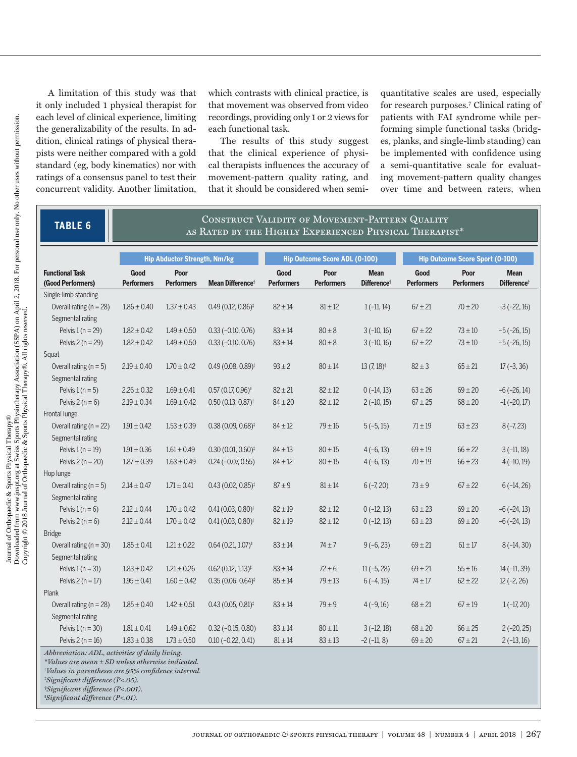A limitation of this study was that it only included 1 physical therapist for each level of clinical experience, limiting the generalizability of the results. In addition, clinical ratings of physical therapists were neither compared with a gold standard (eg, body kinematics) nor with ratings of a consensus panel to test their concurrent validity. Another limitation,

which contrasts with clinical practice, is that movement was observed from video recordings, providing only 1 or 2 views for each functional task.

The results of this study suggest that the clinical experience of physical therapists influences the accuracy of movement-pattern quality rating, and that it should be considered when semi-

quantitative scales are used, especially for research purposes.7 Clinical rating of patients with FAI syndrome while performing simple functional tasks (bridges, planks, and single-limb standing) can be implemented with confidence using a semi-quantitative scale for evaluating movement-pattern quality changes over time and between raters, when

### **TABLE 6** CONSTRUCT VALIDITY OF MOVEMENT-PATTERN QUALITY as Rated by the Highly Experienced Physical Therapist\*

|                                             | <b>Hip Abductor Strength, Nm/kg</b> |                           |                                  |                           | <b>Hip Outcome Score ADL (0-100)</b> |                                              |                           | <b>Hip Outcome Score Sport (0-100)</b> |                                              |  |
|---------------------------------------------|-------------------------------------|---------------------------|----------------------------------|---------------------------|--------------------------------------|----------------------------------------------|---------------------------|----------------------------------------|----------------------------------------------|--|
| <b>Functional Task</b><br>(Good Performers) | Good<br><b>Performers</b>           | Poor<br><b>Performers</b> | Mean Difference <sup>†</sup>     | Good<br><b>Performers</b> | Poor<br><b>Performers</b>            | <b>Mean</b><br><b>Difference<sup>t</sup></b> | Good<br><b>Performers</b> | Poor<br><b>Performers</b>              | <b>Mean</b><br><b>Difference<sup>t</sup></b> |  |
| Single-limb standing                        |                                     |                           |                                  |                           |                                      |                                              |                           |                                        |                                              |  |
| Overall rating $(n = 28)$                   | $1.86 \pm 0.40$                     | $1.37 \pm 0.43$           | $0.49(0.12, 0.86)^{\ddagger}$    | $82 \pm 14$               | $81 \pm 12$                          | $1(-11, 14)$                                 | $67 \pm 21$               | $70 \pm 20$                            | $-3(-22, 16)$                                |  |
| Segmental rating                            |                                     |                           |                                  |                           |                                      |                                              |                           |                                        |                                              |  |
| Pelvis $1(n = 29)$                          | $1.82 \pm 0.42$                     | $1.49 \pm 0.50$           | $0.33(-0.10, 0.76)$              | $83 \pm 14$               | $80 \pm 8$                           | $3(-10, 16)$                                 | $67 + 22$                 | $73 \pm 10$                            | $-5$ ( $-26$ , 15)                           |  |
| Pelvis $2(n = 29)$                          | $1.82 \pm 0.42$                     | $1.49 \pm 0.50$           | $0.33(-0.10, 0.76)$              | $83 \pm 14$               | $80 \pm 8$                           | $3(-10, 16)$                                 | $67 \pm 22$               | $73 \pm 10$                            | $-5$ ( $-26$ , 15)                           |  |
| Squat                                       |                                     |                           |                                  |                           |                                      |                                              |                           |                                        |                                              |  |
| Overall rating $(n = 5)$                    | $2.19 \pm 0.40$                     | $1.70 \pm 0.42$           | $0.49(0.08, 0.89)^{\ddagger}$    | $93 \pm 2$                | $80 \pm 14$                          | $13(7, 18)^{6}$                              | $82 \pm 3$                | $65 \pm 21$                            | $17(-3, 36)$                                 |  |
| Segmental rating                            |                                     |                           |                                  |                           |                                      |                                              |                           |                                        |                                              |  |
| Pelvis $1(n = 5)$                           | $2.26 \pm 0.32$                     | $1.69 \pm 0.41$           | 0.57(0.17, 0.96)                 | $82 \pm 21$               | $82 \pm 12$                          | $0(-14, 13)$                                 | $63 \pm 26$               | $69 \pm 20$                            | $-6$ ( $-26$ , 14)                           |  |
| Pelvis $2(n = 6)$                           | $2.19 \pm 0.34$                     | $1.69 \pm 0.42$           | $0.50(0.13, 0.87)^{\ddagger}$    | $84 \pm 20$               | $82 \pm 12$                          | $2(-10, 15)$                                 | $67 \pm 25$               | $68 \pm 20$                            | $-1$ ( $-20$ , 17)                           |  |
| Frontal lunge                               |                                     |                           |                                  |                           |                                      |                                              |                           |                                        |                                              |  |
| Overall rating $(n = 22)$                   | $1.91 \pm 0.42$                     | $1.53 \pm 0.39$           | $0.38(0.09, 0.68)^{\ddagger}$    | $84 \pm 12$               | $79 \pm 16$                          | $5(-5, 15)$                                  | $71 \pm 19$               | $63 \pm 23$                            | $8(-7, 23)$                                  |  |
| Segmental rating                            |                                     |                           |                                  |                           |                                      |                                              |                           |                                        |                                              |  |
| Pelvis $1(n = 19)$                          | $1.91 \pm 0.36$                     | $1.61 \pm 0.49$           | $0.30(0.01, 0.60)$ <sup>‡</sup>  | $84 \pm 13$               | $80 \pm 15$                          | $4(-6, 13)$                                  | $69 \pm 19$               | $66 \pm 22$                            | $3(-11, 18)$                                 |  |
| Pelvis $2(n = 20)$                          | $1.87 \pm 0.39$                     | $1.63 \pm 0.49$           | $0.24 (-0.07, 0.55)$             | $84 \pm 12$               | $80 \pm 15$                          | $4(-6, 13)$                                  | $70 \pm 19$               | $66 \pm 23$                            | $4(-10, 19)$                                 |  |
| Hop lunge                                   |                                     |                           |                                  |                           |                                      |                                              |                           |                                        |                                              |  |
| Overall rating $(n = 5)$                    | $2.14 \pm 0.47$                     | $1.71 \pm 0.41$           | $0.43(0.02, 0.85)$ <sup>‡</sup>  | $87 \pm 9$                | $81 \pm 14$                          | $6(-7, 20)$                                  | $73 \pm 9$                | $67 \pm 22$                            | $6(-14, 26)$                                 |  |
| Segmental rating                            |                                     |                           |                                  |                           |                                      |                                              |                           |                                        |                                              |  |
| Pelvis $1(n = 6)$                           | $2.12 \pm 0.44$                     | $1.70 \pm 0.42$           | $0.41(0.03, 0.80)^{\ddagger}$    | $82 \pm 19$               | $82 \pm 12$                          | $0(-12, 13)$                                 | $63 \pm 23$               | $69 \pm 20$                            | $-6$ ( $-24$ , 13)                           |  |
| Pelvis $2(n = 6)$                           | $2.12 \pm 0.44$                     | $1.70 \pm 0.42$           | $0.41(0.03, 0.80)^{\ddagger}$    | $82 \pm 19$               | $82 \pm 12$                          | $0(-12, 13)$                                 | $63 \pm 23$               | $69 \pm 20$                            | $-6$ $(-24, 13)$                             |  |
| <b>Bridge</b>                               |                                     |                           |                                  |                           |                                      |                                              |                           |                                        |                                              |  |
| Overall rating $(n = 30)$                   | $1.85 \pm 0.41$                     | $1.21 \pm 0.22$           | $0.64$ (0.21, 1.07) <sup>"</sup> | $83 \pm 14$               | $74 \pm 7$                           | $9(-6, 23)$                                  | $69 \pm 21$               | $61 \pm 17$                            | $8(-14, 30)$                                 |  |
| Segmental rating                            |                                     |                           |                                  |                           |                                      |                                              |                           |                                        |                                              |  |
| Pelvis $1(n = 31)$                          | $1.83 \pm 0.42$                     | $1.21 \pm 0.26$           | $0.62(0.12, 1.13)^{\ddagger}$    | $83 \pm 14$               | $72 \pm 6$                           | $11(-5, 28)$                                 | $69 \pm 21$               | $55 \pm 16$                            | $14(-11, 39)$                                |  |
| Pelvis $2(n = 17)$                          | $1.95 \pm 0.41$                     | $1.60 \pm 0.42$           | $0.35(0.06, 0.64)$ <sup>‡</sup>  | $85 \pm 14$               | $79 \pm 13$                          | $6(-4, 15)$                                  | $74 \pm 17$               | $62 \pm 22$                            | $12(-2, 26)$                                 |  |
| Plank                                       |                                     |                           |                                  |                           |                                      |                                              |                           |                                        |                                              |  |
| Overall rating $(n = 28)$                   | $1.85 \pm 0.40$                     | $1.42 \pm 0.51$           | $0.43(0.05, 0.81)^{\ddagger}$    | $83 \pm 14$               | $79 \pm 9$                           | $4(-9, 16)$                                  | $68 \pm 21$               | $67 + 19$                              | $1(-17, 20)$                                 |  |
| Segmental rating                            |                                     |                           |                                  |                           |                                      |                                              |                           |                                        |                                              |  |
| Pelvis $1(n = 30)$                          | $1.81 \pm 0.41$                     | $1.49 \pm 0.62$           | $0.32(-0.15, 0.80)$              | $83 \pm 14$               | $80 \pm 11$                          | $3(-12, 18)$                                 | $68 \pm 20$               | $66 \pm 25$                            | $2(-20, 25)$                                 |  |
| Pelvis $2(n = 16)$                          | $1.83 \pm 0.38$                     | $1.73 \pm 0.50$           | $0.10 (-0.22, 0.41)$             | $81 \pm 14$               | $83 \pm 13$                          | $-2(-11, 8)$                                 | $69 \pm 20$               | $67 \pm 21$                            | $2(-13, 16)$                                 |  |

*Abbreviation: ADL, activities of daily living.*

\**Values are mean* ± *SD unless otherwise indicated.*

† *Values in parentheses are 95% confidence interval.*

‡ *Significant difference (P<.05).*

§*Significant difference (P<.001).*

‖ *Significant difference (P<.01).*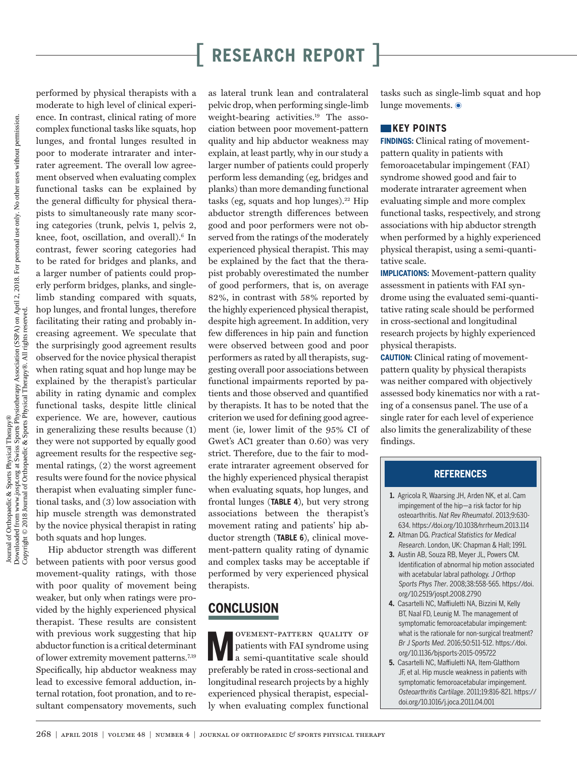performed by physical therapists with a moderate to high level of clinical experience. In contrast, clinical rating of more complex functional tasks like squats, hop lunges, and frontal lunges resulted in poor to moderate intrarater and interrater agreement. The overall low agreement observed when evaluating complex functional tasks can be explained by the general difficulty for physical therapists to simultaneously rate many scoring categories (trunk, pelvis 1, pelvis 2, knee, foot, oscillation, and overall).<sup>6</sup> In contrast, fewer scoring categories had to be rated for bridges and planks, and a larger number of patients could properly perform bridges, planks, and singlelimb standing compared with squats, hop lunges, and frontal lunges, therefore facilitating their rating and probably increasing agreement. We speculate that the surprisingly good agreement results observed for the novice physical therapist when rating squat and hop lunge may be explained by the therapist's particular ability in rating dynamic and complex functional tasks, despite little clinical experience. We are, however, cautious in generalizing these results because (1) they were not supported by equally good agreement results for the respective segmental ratings, (2) the worst agreement results were found for the novice physical therapist when evaluating simpler functional tasks, and (3) low association with hip muscle strength was demonstrated by the novice physical therapist in rating both squats and hop lunges.

Hip abductor strength was different between patients with poor versus good movement-quality ratings, with those with poor quality of movement being weaker, but only when ratings were provided by the highly experienced physical therapist. These results are consistent with previous work suggesting that hip abductor function is a critical determinant of lower extremity movement patterns.7,19 Specifically, hip abductor weakness may lead to excessive femoral adduction, internal rotation, foot pronation, and to resultant compensatory movements, such

as lateral trunk lean and contralateral pelvic drop, when performing single-limb weight-bearing activities.<sup>19</sup> The association between poor movement-pattern quality and hip abductor weakness may explain, at least partly, why in our study a larger number of patients could properly perform less demanding (eg, bridges and planks) than more demanding functional tasks (eg, squats and hop lunges). $22$  Hip abductor strength differences between good and poor performers were not observed from the ratings of the moderately experienced physical therapist. This may be explained by the fact that the therapist probably overestimated the number of good performers, that is, on average 82%, in contrast with 58% reported by the highly experienced physical therapist, despite high agreement. In addition, very few differences in hip pain and function were observed between good and poor performers as rated by all therapists, suggesting overall poor associations between functional impairments reported by patients and those observed and quantified by therapists. It has to be noted that the criterion we used for defining good agreement (ie, lower limit of the 95% CI of Gwet's AC1 greater than 0.60) was very strict. Therefore, due to the fair to moderate intrarater agreement observed for the highly experienced physical therapist when evaluating squats, hop lunges, and frontal lunges (**TABLE 4**), but very strong associations between the therapist's movement rating and patients' hip abductor strength (**TABLE 6**), clinical movement-pattern quality rating of dynamic and complex tasks may be acceptable if performed by very experienced physical therapists.

### **CONCLUSION**

**M** OVEMENT-PATTERN QUALITY OF patients with FAI syndrome using a semi-quantitative scale should patients with FAI syndrome using a semi-quantitative scale should preferably be rated in cross-sectional and longitudinal research projects by a highly experienced physical therapist, especially when evaluating complex functional

tasks such as single-limb squat and hop lunge movements.  $\odot$ 

### **KEY POINTS**

**FINDINGS:** Clinical rating of movementpattern quality in patients with femoroacetabular impingement (FAI) syndrome showed good and fair to moderate intrarater agreement when evaluating simple and more complex functional tasks, respectively, and strong associations with hip abductor strength when performed by a highly experienced physical therapist, using a semi-quantitative scale.

**IMPLICATIONS:** Movement-pattern quality assessment in patients with FAI syndrome using the evaluated semi-quantitative rating scale should be performed in cross-sectional and longitudinal research projects by highly experienced physical therapists.

**CAUTION:** Clinical rating of movementpattern quality by physical therapists was neither compared with objectively assessed body kinematics nor with a rating of a consensus panel. The use of a single rater for each level of experience also limits the generalizability of these findings.

### **REFERENCES**

- **1.** Agricola R, Waarsing JH, Arden NK, et al. Cam impingement of the hip—a risk factor for hip osteoarthritis. *Nat Rev Rheumatol*. 2013;9:630- 634. https://doi.org/10.1038/nrrheum.2013.114
- **2.** Altman DG. *Practical Statistics for Medical Research*. London, UK: Chapman & Hall; 1991.
- **3.** Austin AB, Souza RB, Meyer JL, Powers CM. Identification of abnormal hip motion associated with acetabular labral pathology. *J Orthop Sports Phys Ther*. 2008;38:558-565. https://doi. org/10.2519/jospt.2008.2790
- **4.** Casartelli NC, Maffiuletti NA, Bizzini M, Kelly BT, Naal FD, Leunig M. The management of symptomatic femoroacetabular impingement: what is the rationale for non-surgical treatment? *Br J Sports Med*. 2016;50:511-512. https://doi. org/10.1136/bjsports-2015-095722
- **5.** Casartelli NC, Maffiuletti NA, Item-Glatthorn JF, et al. Hip muscle weakness in patients with symptomatic femoroacetabular impingement. *Osteoarthritis Cartilage*. 2011;19:816-821. https:// doi.org/10.1016/j.joca.2011.04.001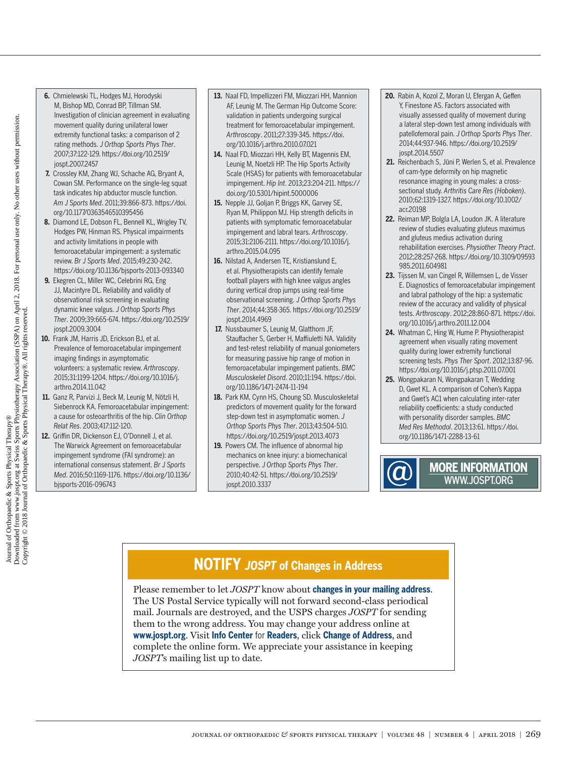- **6.** Chmielewski TL, Hodges MJ, Horodyski M, Bishop MD, Conrad BP, Tillman SM. Investigation of clinician agreement in evaluating movement quality during unilateral lower extremity functional tasks: a comparison of 2 rating methods. *J Orthop Sports Phys Ther*. 2007;37:122-129. https://doi.org/10.2519/ jospt.2007.2457
- **7.** Crossley KM, Zhang WJ, Schache AG, Bryant A, Cowan SM. Performance on the single-leg squat task indicates hip abductor muscle function. *Am J Sports Med*. 2011;39:866-873. https://doi. org/10.1177/0363546510395456
- **8.** Diamond LE, Dobson FL, Bennell KL, Wrigley TV, Hodges PW, Hinman RS. Physical impairments and activity limitations in people with femoroacetabular impingement: a systematic review. *Br J Sports Med*. 2015;49:230-242. https://doi.org/10.1136/bjsports-2013-093340
- **9.** Ekegren CL, Miller WC, Celebrini RG, Eng JJ, Macintyre DL. Reliability and validity of observational risk screening in evaluating dynamic knee valgus. *J Orthop Sports Phys Ther*. 2009;39:665-674. https://doi.org/10.2519/ jospt.2009.3004
- **10.** Frank JM, Harris JD, Erickson BJ, et al. Prevalence of femoroacetabular impingement imaging findings in asymptomatic volunteers: a systematic review. *Arthroscopy*. 2015;31:1199-1204. https://doi.org/10.1016/j. arthro.2014.11.042
- **11.** Ganz R, Parvizi J, Beck M, Leunig M, Nötzli H, Siebenrock KA. Femoroacetabular impingement: a cause for osteoarthritis of the hip. *Clin Orthop Relat Res*. 2003;417:112-120.
- **12.** Griffin DR, Dickenson EJ, O'Donnell J, et al. The Warwick Agreement on femoroacetabular impingement syndrome (FAI syndrome): an international consensus statement. *Br J Sports Med*. 2016;50:1169-1176. https://doi.org/10.1136/ bjsports-2016-096743
- **13.** Naal FD, Impellizzeri FM, Miozzari HH, Mannion AF, Leunig M. The German Hip Outcome Score: validation in patients undergoing surgical treatment for femoroacetabular impingement. *Arthroscopy*. 2011;27:339-345. https://doi. org/10.1016/j.arthro.2010.07.021
- **14.** Naal FD, Miozzari HH, Kelly BT, Magennis EM, Leunig M, Noetzli HP. The Hip Sports Activity Scale (HSAS) for patients with femoroacetabular impingement. *Hip Int*. 2013;23:204-211. https:// doi.org/10.5301/hipint.5000006
- **15.** Nepple JJ, Goljan P, Briggs KK, Garvey SE, Ryan M, Philippon MJ. Hip strength deficits in patients with symptomatic femoroacetabular impingement and labral tears. *Arthroscopy*. 2015;31:2106-2111. https://doi.org/10.1016/j. arthro.2015.04.095
- **16.** Nilstad A, Andersen TE, Kristianslund E, et al. Physiotherapists can identify female football players with high knee valgus angles during vertical drop jumps using real-time observational screening. *J Orthop Sports Phys Ther*. 2014;44:358-365. https://doi.org/10.2519/ jospt.2014.4969
- **17.** Nussbaumer S, Leunig M, Glatthorn JF, Stauffacher S, Gerber H, Maffiuletti NA. Validity and test-retest reliability of manual goniometers for measuring passive hip range of motion in femoroacetabular impingement patients. *BMC Musculoskelet Disord*. 2010;11:194. https://doi. org/10.1186/1471-2474-11-194
- **18.** Park KM, Cynn HS, Choung SD. Musculoskeletal predictors of movement quality for the forward step-down test in asymptomatic women. *J Orthop Sports Phys Ther*. 2013;43:504-510. https://doi.org/10.2519/jospt.2013.4073
- **19.** Powers CM. The influence of abnormal hip mechanics on knee injury: a biomechanical perspective. *J Orthop Sports Phys Ther*. 2010;40:42-51. https://doi.org/10.2519/ jospt.2010.3337
- **20.** Rabin A, Kozol Z, Moran U, Efergan A, Geffen Y, Finestone AS. Factors associated with visually assessed quality of movement during a lateral step-down test among individuals with patellofemoral pain. *J Orthop Sports Phys Ther*. 2014;44:937-946. https://doi.org/10.2519/ jospt.2014.5507
- **21.** Reichenbach S, Jüni P, Werlen S, et al. Prevalence of cam-type deformity on hip magnetic resonance imaging in young males: a crosssectional study. *Arthritis Care Res (Hoboken)*. 2010;62:1319-1327. https://doi.org/10.1002/ acr.20198
- **22.** Reiman MP, Bolgla LA, Loudon JK. A literature review of studies evaluating gluteus maximus and gluteus medius activation during rehabilitation exercises. *Physiother Theory Pract*. 2012;28:257-268. https://doi.org/10.3109/09593 985.2011.604981
- **23.** Tijssen M, van Cingel R, Willemsen L, de Visser E. Diagnostics of femoroacetabular impingement and labral pathology of the hip: a systematic review of the accuracy and validity of physical tests. *Arthroscopy*. 2012;28:860-871. https://doi. org/10.1016/j.arthro.2011.12.004
- 24. Whatman C, Hing W, Hume P. Physiotherapist agreement when visually rating movement quality during lower extremity functional screening tests. *Phys Ther Sport*. 2012;13:87-96. https://doi.org/10.1016/j.ptsp.2011.07.001
- **25.** Wongpakaran N, Wongpakaran T, Wedding D, Gwet KL. A comparison of Cohen's Kappa and Gwet's AC1 when calculating inter-rater reliability coefficients: a study conducted with personality disorder samples. *BMC Med Res Methodol*. 2013;13:61. https://doi. org/10.1186/1471-2288-13-61



# **NOTIFY** *JOSPT* **of Changes in Address**

Please remember to let *JOSPT* know about **changes in your mailing address**. The US Postal Service typically will not forward second-class periodical mail. Journals are destroyed, and the USPS charges *JOSPT* for sending them to the wrong address. You may change your address online at **www.jospt.org**. Visit **Info Center** for **Readers**, click **Change of Address**, and complete the online form. We appreciate your assistance in keeping *JOSPT*'s mailing list up to date.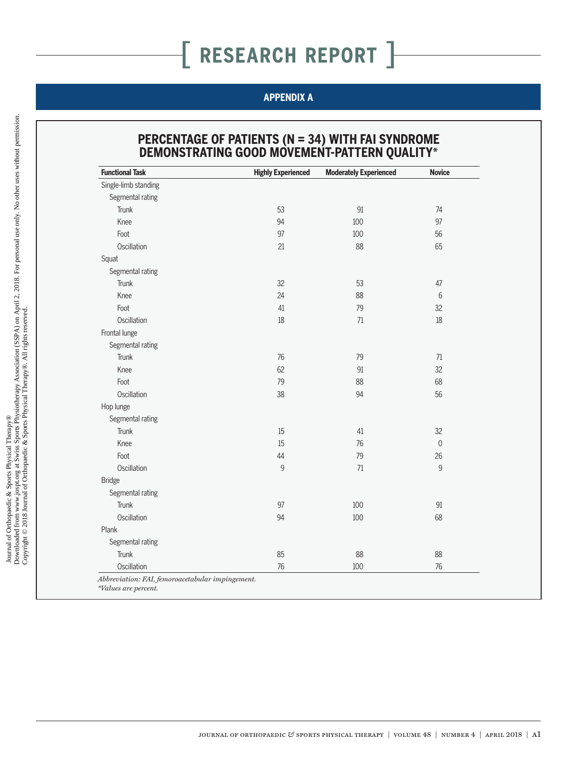### **APPENDIX A**

### **PERCENTAGE OF PATIENTS (N = 34) WITH FAI SYNDROME DEMONSTRATING GOOD MOVEMENT-PATTERN QUALITY\***

| <b>Functional Task</b> | <b>Highly Experienced</b> | <b>Moderately Experienced</b> | <b>Novice</b> |
|------------------------|---------------------------|-------------------------------|---------------|
| Single-limb standing   |                           |                               |               |
| Segmental rating       |                           |                               |               |
| Trunk                  | 53                        | 91                            | 74            |
| Knee                   | 94                        | 100                           | 97            |
| Foot                   | 97                        | 100                           | 56            |
| Oscillation            | 21                        | 88                            | 65            |
| Squat                  |                           |                               |               |
| Segmental rating       |                           |                               |               |
| Trunk                  | 32                        | 53                            | 47            |
| Knee                   | 24                        | 88                            | 6             |
| Foot                   | 41                        | 79                            | 32            |
| Oscillation            | 18                        | 71                            | 18            |
| Frontal lunge          |                           |                               |               |
| Segmental rating       |                           |                               |               |
| Trunk                  | 76                        | 79                            | 71            |
| Knee                   | 62                        | 91                            | 32            |
| Foot                   | 79                        | 88                            | 68            |
| Oscillation            | 38                        | 94                            | 56            |
| Hop lunge              |                           |                               |               |
| Segmental rating       |                           |                               |               |
| Trunk                  | 15                        | 41                            | 32            |
| Knee                   | 15                        | 76                            | $\mathbf 0$   |
| Foot                   | 44                        | 79                            | 26            |
| Oscillation            | 9                         | 71                            | 9             |
| <b>Bridge</b>          |                           |                               |               |
| Segmental rating       |                           |                               |               |
| <b>Trunk</b>           | 97                        | 100                           | 91            |
| Oscillation            | 94                        | 100                           | 68            |
| Plank                  |                           |                               |               |
| Segmental rating       |                           |                               |               |
| Trunk                  | 85                        | 88                            | 88            |
| Oscillation            | 76                        | 100                           | 76            |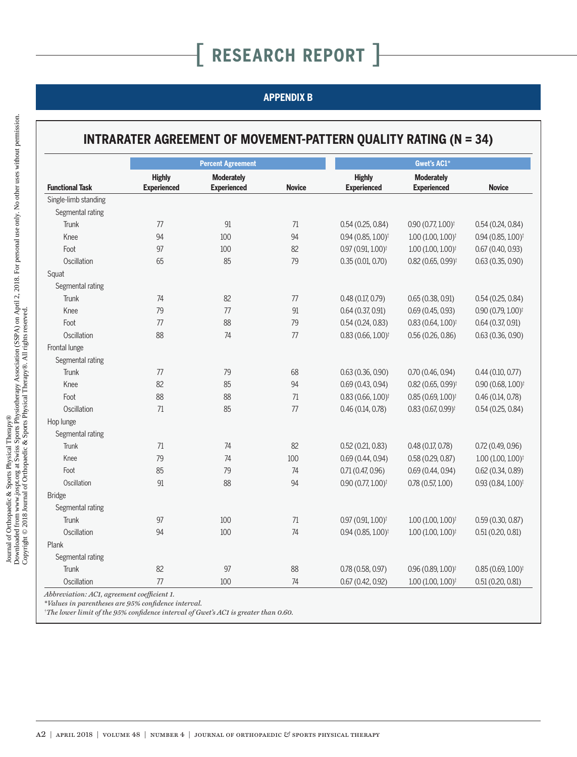### **APPENDIX B**

# **INTRARATER AGREEMENT OF MOVEMENT-PATTERN QUALITY RATING (N = 34)**

|                        |                                     | <b>Percent Agreement</b>                |               | <b>Gwet's AC1*</b>                  |                                         |                                 |  |
|------------------------|-------------------------------------|-----------------------------------------|---------------|-------------------------------------|-----------------------------------------|---------------------------------|--|
| <b>Functional Task</b> | <b>Highly</b><br><b>Experienced</b> | <b>Moderately</b><br><b>Experienced</b> | <b>Novice</b> | <b>Highly</b><br><b>Experienced</b> | <b>Moderately</b><br><b>Experienced</b> | <b>Novice</b>                   |  |
| Single-limb standing   |                                     |                                         |               |                                     |                                         |                                 |  |
| Segmental rating       |                                     |                                         |               |                                     |                                         |                                 |  |
| Trunk                  | 77                                  | 91                                      | 71            | 0.54(0.25, 0.84)                    | $0.90(0.77, 1.00)^{\dagger}$            | 0.54(0.24, 0.84)                |  |
| Knee                   | 94                                  | 100                                     | 94            | $0.94(0.85, 1.00)$ <sup>†</sup>     | $1.00(1.00, 1.00)^{\dagger}$            | $0.94(0.85, 1.00)$ <sup>†</sup> |  |
| Foot                   | 97                                  | 100                                     | 82            | $0.97(0.91, 1.00)^{\dagger}$        | $1.00(1.00, 1.00)^{\dagger}$            | 0.67(0.40, 0.93)                |  |
| Oscillation            | 65                                  | 85                                      | 79            | 0.35(0.01, 0.70)                    | $0.82$ (0.65, 0.99) <sup>†</sup>        | 0.63(0.35, 0.90)                |  |
| Squat                  |                                     |                                         |               |                                     |                                         |                                 |  |
| Segmental rating       |                                     |                                         |               |                                     |                                         |                                 |  |
| Trunk                  | 74                                  | 82                                      | 77            | 0.48(0.17, 0.79)                    | 0.65(0.38, 0.91)                        | 0.54(0.25, 0.84)                |  |
| Knee                   | 79                                  | 77                                      | 91            | 0.64(0.37, 0.91)                    | 0.69(0.45, 0.93)                        | $0.90(0.79, 1.00)$ <sup>†</sup> |  |
| Foot                   | 77                                  | 88                                      | 79            | 0.54(0.24, 0.83)                    | $0.83(0.64, 1.00)$ <sup>†</sup>         | 0.64(0.37, 0.91)                |  |
| Oscillation            | 88                                  | 74                                      | 77            | $0.83(0.66, 1.00)^{\dagger}$        | 0.56(0.26, 0.86)                        | 0.63(0.36, 0.90)                |  |
| Frontal lunge          |                                     |                                         |               |                                     |                                         |                                 |  |
| Segmental rating       |                                     |                                         |               |                                     |                                         |                                 |  |
| Trunk                  | 77                                  | 79                                      | 68            | 0.63(0.36, 0.90)                    | 0.70(0.46, 0.94)                        | 0.44(0.10, 0.77)                |  |
| Knee                   | 82                                  | 85                                      | 94            | 0.69(0.43, 0.94)                    | $0.82$ (0.65, 0.99) <sup>†</sup>        | $0.90(0.68, 1.00)$ <sup>†</sup> |  |
| Foot                   | 88                                  | 88                                      | 71            | $0.83(0.66, 1.00)^{\dagger}$        | $0.85(0.69, 1.00)^{\dagger}$            | 0.46(0.14, 0.78)                |  |
| Oscillation            | 71                                  | 85                                      | 77            | 0.46(0.14, 0.78)                    | $0.83(0.67, 0.99)$ <sup>†</sup>         | 0.54(0.25, 0.84)                |  |
| Hop lunge              |                                     |                                         |               |                                     |                                         |                                 |  |
| Segmental rating       |                                     |                                         |               |                                     |                                         |                                 |  |
| <b>Trunk</b>           | 71                                  | 74                                      | 82            | 0.52(0.21, 0.83)                    | 0.48(0.17, 0.78)                        | 0.72(0.49, 0.96)                |  |
| Knee                   | 79                                  | 74                                      | 100           | 0.69(0.44, 0.94)                    | 0.58(0.29, 0.87)                        | $1.00(1.00, 1.00)^{\dagger}$    |  |
| Foot                   | 85                                  | 79                                      | 74            | 0.71(0.47, 0.96)                    | 0.69(0.44, 0.94)                        | 0.62(0.34, 0.89)                |  |
| Oscillation            | 91                                  | 88                                      | 94            | $0.90(0.77, 1.00)^{\dagger}$        | 0.78(0.57, 1.00)                        | $0.93(0.84, 1.00)$ <sup>†</sup> |  |
| <b>Bridge</b>          |                                     |                                         |               |                                     |                                         |                                 |  |
| Segmental rating       |                                     |                                         |               |                                     |                                         |                                 |  |
| <b>Trunk</b>           | 97                                  | 100                                     | 71            | $0.97(0.91, 1.00)^{\dagger}$        | $1.00(1.00, 1.00)^{\dagger}$            | 0.59(0.30, 0.87)                |  |
| Oscillation            | 94                                  | 100                                     | 74            | $0.94(0.85, 1.00)^{\dagger}$        | $1.00(1.00, 1.00)^{\dagger}$            | 0.51(0.20, 0.81)                |  |
| Plank                  |                                     |                                         |               |                                     |                                         |                                 |  |
| Segmental rating       |                                     |                                         |               |                                     |                                         |                                 |  |
| Trunk                  | 82                                  | 97                                      | 88            | 0.78(0.58, 0.97)                    | $0.96(0.89, 1.00)$ <sup>†</sup>         | $0.85(0.69, 1.00)^{\dagger}$    |  |
| Oscillation            | 77                                  | 100                                     | 74            | 0.67(0.42, 0.92)                    | $1.00(1.00, 1.00)^{\dagger}$            | 0.51(0.20, 0.81)                |  |

\**Values in parentheses are 95% confidence interval.* † *The lower limit of the 95% confidence interval of Gwet's AC1 is greater than 0.60.*